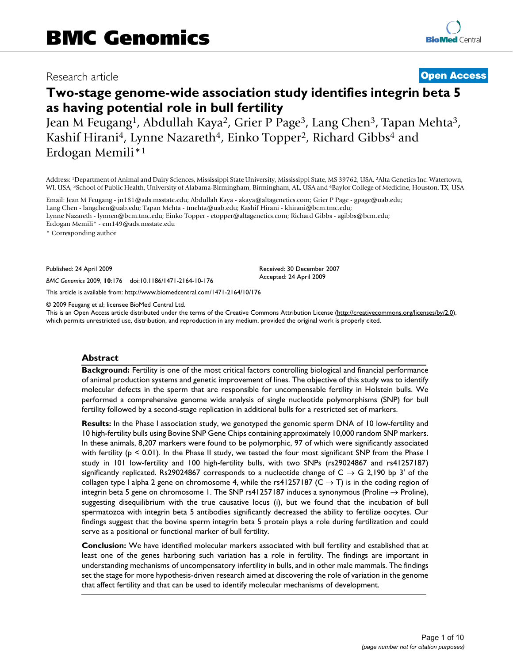## Research article **[Open Access](http://www.biomedcentral.com/info/about/charter/)**

# **Two-stage genome-wide association study identifies integrin beta 5 as having potential role in bull fertility**

Jean M Feugang1, Abdullah Kaya2, Grier P Page3, Lang Chen3, Tapan Mehta3, Kashif Hirani<sup>4</sup>, Lynne Nazareth<sup>4</sup>, Einko Topper<sup>2</sup>, Richard Gibbs<sup>4</sup> and Erdogan Memili\*1

Address: 1Department of Animal and Dairy Sciences, Mississippi State University, Mississippi State, MS 39762, USA, 2Alta Genetics Inc. Watertown, WI, USA, 3School of Public Health, University of Alabama-Birmingham, Birmingham, AL, USA and 4Baylor College of Medicine, Houston, TX, USA

Email: Jean M Feugang - jn181@ads.msstate.edu; Abdullah Kaya - akaya@altagenetics.com; Grier P Page - gpage@uab.edu; Lang Chen - langchen@uab.edu; Tapan Mehta - tmehta@uab.edu; Kashif Hirani - khirani@bcm.tmc.edu; Lynne Nazareth - lynnen@bcm.tmc.edu; Einko Topper - etopper@altagenetics.com; Richard Gibbs - agibbs@bcm.edu; Erdogan Memili\* - em149@ads.msstate.edu

\* Corresponding author

Published: 24 April 2009

*BMC Genomics* 2009, **10**:176 doi:10.1186/1471-2164-10-176

[This article is available from: http://www.biomedcentral.com/1471-2164/10/176](http://www.biomedcentral.com/1471-2164/10/176)

© 2009 Feugang et al; licensee BioMed Central Ltd.

This is an Open Access article distributed under the terms of the Creative Commons Attribution License [\(http://creativecommons.org/licenses/by/2.0\)](http://creativecommons.org/licenses/by/2.0), which permits unrestricted use, distribution, and reproduction in any medium, provided the original work is properly cited.

Received: 30 December 2007 Accepted: 24 April 2009

#### **Abstract**

**Background:** Fertility is one of the most critical factors controlling biological and financial performance of animal production systems and genetic improvement of lines. The objective of this study was to identify molecular defects in the sperm that are responsible for uncompensable fertility in Holstein bulls. We performed a comprehensive genome wide analysis of single nucleotide polymorphisms (SNP) for bull fertility followed by a second-stage replication in additional bulls for a restricted set of markers.

**Results:** In the Phase I association study, we genotyped the genomic sperm DNA of 10 low-fertility and 10 high-fertility bulls using Bovine SNP Gene Chips containing approximately 10,000 random SNP markers. In these animals, 8,207 markers were found to be polymorphic, 97 of which were significantly associated with fertility ( $p < 0.01$ ). In the Phase II study, we tested the four most significant SNP from the Phase I study in 101 low-fertility and 100 high-fertility bulls, with two SNPs (rs29024867 and rs41257187) significantly replicated. Rs29024867 corresponds to a nucleotide change of  $C \rightarrow G$  2,190 bp 3' of the collagen type I alpha 2 gene on chromosome 4, while the rs41257187 (C  $\rightarrow$  T) is in the coding region of integrin beta 5 gene on chromosome 1. The SNP rs41257187 induces a synonymous (Proline  $\rightarrow$  Proline), suggesting disequilibrium with the true causative locus (i), but we found that the incubation of bull spermatozoa with integrin beta 5 antibodies significantly decreased the ability to fertilize oocytes. Our findings suggest that the bovine sperm integrin beta 5 protein plays a role during fertilization and could serve as a positional or functional marker of bull fertility.

**Conclusion:** We have identified molecular markers associated with bull fertility and established that at least one of the genes harboring such variation has a role in fertility. The findings are important in understanding mechanisms of uncompensatory infertility in bulls, and in other male mammals. The findings set the stage for more hypothesis-driven research aimed at discovering the role of variation in the genome that affect fertility and that can be used to identify molecular mechanisms of development.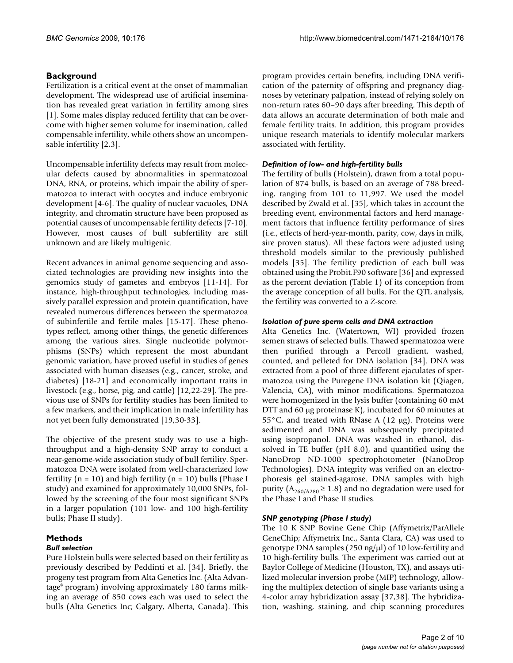## **Background**

Fertilization is a critical event at the onset of mammalian development. The widespread use of artificial insemination has revealed great variation in fertility among sires [[1\]](#page-7-0). Some males display reduced fertility that can be overcome with higher semen volume for insemination, called compensable infertility, while others show an uncompensable infertility [\[2,](#page-7-1)[3\]](#page-7-2).

Uncompensable infertility defects may result from molecular defects caused by abnormalities in spermatozoal DNA, RNA, or proteins, which impair the ability of spermatozoa to interact with oocytes and induce embryonic development [\[4-](#page-7-3)[6](#page-7-4)]. The quality of nuclear vacuoles, DNA integrity, and chromatin structure have been proposed as potential causes of uncompensable fertility defects [[7](#page-7-5)[-10](#page-7-6)]. However, most causes of bull subfertility are still unknown and are likely multigenic.

Recent advances in animal genome sequencing and associated technologies are providing new insights into the genomics study of gametes and embryos [\[11](#page-7-7)[-14](#page-7-8)]. For instance, high-throughput technologies, including massively parallel expression and protein quantification, have revealed numerous differences between the spermatozoa of subinfertile and fertile males [\[15](#page-8-0)[-17](#page-8-1)]. These phenotypes reflect, among other things, the genetic differences among the various sires. Single nucleotide polymorphisms (SNPs) which represent the most abundant genomic variation, have proved useful in studies of genes associated with human diseases (e.g., cancer, stroke, and diabetes) [\[18](#page-8-2)[-21](#page-8-3)] and economically important traits in livestock (e.g., horse, pig, and cattle) [[12,](#page-7-9)[22](#page-8-4)[-29\]](#page-8-5). The previous use of SNPs for fertility studies has been limited to a few markers, and their implication in male infertility has not yet been fully demonstrated [[19](#page-8-6),[30-](#page-8-7)[33\]](#page-8-8).

The objective of the present study was to use a highthroughput and a high-density SNP array to conduct a near-genome-wide association study of bull fertility. Spermatozoa DNA were isolated from well-characterized low fertility ( $n = 10$ ) and high fertility ( $n = 10$ ) bulls (Phase I study) and examined for approximately 10,000 SNPs, followed by the screening of the four most significant SNPs in a larger population (101 low- and 100 high-fertility bulls; Phase II study).

#### **Methods** *Bull selection*

Pure Holstein bulls were selected based on their fertility as previously described by Peddinti et al. [[34](#page-8-9)]. Briefly, the progeny test program from Alta Genetics Inc. (Alta Advantage® program) involving approximately 180 farms milking an average of 850 cows each was used to select the bulls (Alta Genetics Inc; Calgary, Alberta, Canada). This program provides certain benefits, including DNA verification of the paternity of offspring and pregnancy diagnoses by veterinary palpation, instead of relying solely on non-return rates 60–90 days after breeding. This depth of data allows an accurate determination of both male and female fertility traits. In addition, this program provides unique research materials to identify molecular markers associated with fertility.

## *Definition of low- and high-fertility bulls*

The fertility of bulls (Holstein), drawn from a total population of 874 bulls, is based on an average of 788 breeding, ranging from 101 to 11,997. We used the model described by Zwald et al. [[35\]](#page-8-10), which takes in account the breeding event, environmental factors and herd management factors that influence fertility performance of sires (i.e., effects of herd-year-month, parity, cow, days in milk, sire proven status). All these factors were adjusted using threshold models similar to the previously published models [[35](#page-8-10)]. The fertility prediction of each bull was obtained using the Probit.F90 software [[36\]](#page-8-11) and expressed as the percent deviation (Table [1](#page-2-0)) of its conception from the average conception of all bulls. For the QTL analysis, the fertility was converted to a Z-score.

## *Isolation of pure sperm cells and DNA extraction*

Alta Genetics Inc. (Watertown, WI) provided frozen semen straws of selected bulls. Thawed spermatozoa were then purified through a Percoll gradient, washed, counted, and pelleted for DNA isolation [[34](#page-8-9)]. DNA was extracted from a pool of three different ejaculates of spermatozoa using the Puregene DNA isolation kit (Qiagen, Valencia, CA), with minor modifications. Spermatozoa were homogenized in the lysis buffer (containing 60 mM DTT and 60 μg proteinase K), incubated for 60 minutes at 55°C, and treated with RNase A (12 μg). Proteins were sedimented and DNA was subsequently precipitated using isopropanol. DNA was washed in ethanol, dissolved in TE buffer (pH 8.0), and quantified using the NanoDrop ND-1000 spectrophotometer (NanoDrop Technologies). DNA integrity was verified on an electrophoresis gel stained-agarose. DNA samples with high purity ( $A_{260/A280} \ge 1.8$ ) and no degradation were used for the Phase I and Phase II studies.

## *SNP genotyping (Phase I study)*

The 10 K SNP Bovine Gene Chip (Affymetrix/ParAllele GeneChip; Affymetrix Inc., Santa Clara, CA) was used to genotype DNA samples (250 ng/μl) of 10 low-fertility and 10 high-fertility bulls. The experiment was carried out at Baylor College of Medicine (Houston, TX), and assays utilized molecular inversion probe (MIP) technology, allowing the multiplex detection of single base variants using a 4-color array hybridization assay [\[37](#page-8-12)[,38](#page-8-13)]. The hybridization, washing, staining, and chip scanning procedures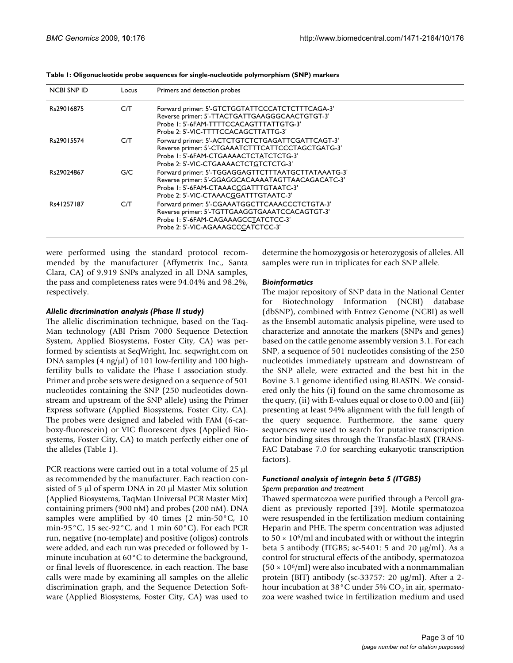| NCBI SNP ID | Locus | Primers and detection probes                                                                                                                                                               |
|-------------|-------|--------------------------------------------------------------------------------------------------------------------------------------------------------------------------------------------|
| Rs29016875  | C/T   | Forward primer: 5'-GTCTGGTATTCCCATCTCTTTCAGA-3'<br>Reverse primer: 5'-TTACTGATTGAAGGGCAACTGTGT-3'<br>Probe I: 5'-6FAM-TTTTCCACAGTTTATTGTG-3'<br>Probe 2: 5'-VIC-TTTTCCACAGCTTATTG-3'       |
| Rs29015574  | C/T   | Forward primer: 5'-ACTCTGTCTCTGAGATTCGATTCAGT-3'<br>Reverse primer: 5'-CTGAAATCTTTCATTCCCTAGCTGATG-3'<br>Probe I: 5'-6FAM-CTGAAAACTCTATCTCTG-3'<br>Probe 2: 5'-VIC-CTGAAAACTCTGTCTCTG-3'   |
| Rs29024867  | G/C   | Forward primer: 5'-TGGAGGAGTTCTTTAATGCTTATAAATG-3'<br>Reverse primer: 5'-GGAGGCACAAAATAGTTAACAGACATC-3'<br>Probe I: 5'-6FAM-CTAAACCGATTTGTAATC-3'<br>Probe 2: 5'-VIC-CTAAACGGATTTGTAATC-3' |
| Rs41257187  | C/T   | Forward primer: 5'-CGAAATGGCTTCAAACCCTCTGTA-3'<br>Reverse primer: 5'-TGTTGAAGGTGAAATCCACAGTGT-3'<br>Probe I: 5'-6FAM-CAGAAAGCCTATCTCC-3'<br>Probe 2: 5'-VIC-AGAAAGCCCATCTCC-3'             |

<span id="page-2-0"></span>**Table 1: Oligonucleotide probe sequences for single-nucleotide polymorphism (SNP) markers**

were performed using the standard protocol recommended by the manufacturer (Affymetrix Inc., Santa Clara, CA) of 9,919 SNPs analyzed in all DNA samples, the pass and completeness rates were 94.04% and 98.2%, respectively.

#### *Allelic discrimination analysis (Phase II study)*

The allelic discrimination technique, based on the Taq-Man technology (ABI Prism 7000 Sequence Detection System, Applied Biosystems, Foster City, CA) was performed by scientists at SeqWright, Inc. seqwright.com on DNA samples (4 ng/μl) of 101 low-fertility and 100 highfertility bulls to validate the Phase I association study. Primer and probe sets were designed on a sequence of 501 nucleotides containing the SNP (250 nucleotides downstream and upstream of the SNP allele) using the Primer Express software (Applied Biosystems, Foster City, CA). The probes were designed and labeled with FAM (6-carboxy-fluorescein) or VIC fluorescent dyes (Applied Biosystems, Foster City, CA) to match perfectly either one of the alleles (Table [1](#page-2-0)).

PCR reactions were carried out in a total volume of 25 μl as recommended by the manufacturer. Each reaction consisted of 5 μl of sperm DNA in 20 μl Master Mix solution (Applied Biosystems, TaqMan Universal PCR Master Mix) containing primers (900 nM) and probes (200 nM). DNA samples were amplified by 40 times (2 min-50°C, 10 min-95°C, 15 sec-92°C, and 1 min 60°C). For each PCR run, negative (no-template) and positive (oligos) controls were added, and each run was preceded or followed by 1 minute incubation at 60°C to determine the background, or final levels of fluorescence, in each reaction. The base calls were made by examining all samples on the allelic discrimination graph, and the Sequence Detection Software (Applied Biosystems, Foster City, CA) was used to

determine the homozygosis or heterozygosis of alleles. All samples were run in triplicates for each SNP allele.

#### *Bioinformatics*

The major repository of SNP data in the National Center for Biotechnology Information (NCBI) database (dbSNP), combined with Entrez Genome (NCBI) as well as the Ensembl automatic analysis pipeline, were used to characterize and annotate the markers (SNPs and genes) based on the cattle genome assembly version 3.1. For each SNP, a sequence of 501 nucleotides consisting of the 250 nucleotides immediately upstream and downstream of the SNP allele, were extracted and the best hit in the Bovine 3.1 genome identified using BLASTN. We considered only the hits (i) found on the same chromosome as the query, (ii) with E-values equal or close to 0.00 and (iii) presenting at least 94% alignment with the full length of the query sequence. Furthermore, the same query sequences were used to search for putative transcription factor binding sites through the Transfac-blastX (TRANS-FAC Database 7.0 for searching eukaryotic transcription factors).

#### *Functional analysis of integrin beta 5 (ITGB5) Sperm preparation and treatment*

Thawed spermatozoa were purified through a Percoll gradient as previously reported [[39\]](#page-8-14). Motile spermatozoa were resuspended in the fertilization medium containing Heparin and PHE. The sperm concentration was adjusted to  $50 \times 10^6$ /ml and incubated with or without the integrin beta 5 antibody (ITGB5; sc-5401: 5 and 20  $\mu$ g/ml). As a control for structural effects of the antibody, spermatozoa  $(50 \times 10^6$ /ml) were also incubated with a nonmammalian protein (BIT) antibody (sc-33757: 20 μg/ml). After a 2 hour incubation at 38 °C under 5%  $CO<sub>2</sub>$  in air, spermatozoa were washed twice in fertilization medium and used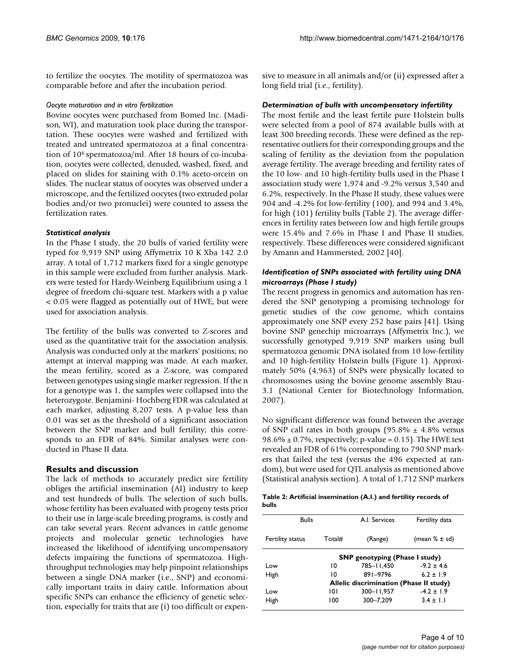to fertilize the oocytes. The motility of spermatozoa was comparable before and after the incubation period.

## *Oocyte maturation and in vitro fertilization*

Bovine oocytes were purchased from Bomed Inc. (Madison, WI), and maturation took place during the transportation. These oocytes were washed and fertilized with treated and untreated spermatozoa at a final concentration of 106 spermatozoa/ml. After 18 hours of co-incubation, oocytes were collected, denuded, washed, fixed, and placed on slides for staining with 0.1% aceto-orcein on slides. The nuclear status of oocytes was observed under a microscope, and the fertilized oocytes (two extruded polar bodies and/or two pronuclei) were counted to assess the fertilization rates.

## *Statistical analysis*

In the Phase I study, the 20 bulls of varied fertility were typed for 9,919 SNP using Affymetrix 10 K Xba 142 2.0 array. A total of 1,712 markers fixed for a single genotype in this sample were excluded from further analysis. Markers were tested for Hardy-Weinberg Equilibrium using a 1 degree of freedom chi-square test. Markers with a p value < 0.05 were flagged as potentially out of HWE, but were used for association analysis.

The fertility of the bulls was converted to Z-scores and used as the quantitative trait for the association analysis. Analysis was conducted only at the markers' positions; no attempt at interval mapping was made. At each marker, the mean fertility, scored as a Z-score, was compared between genotypes using single marker regression. If the n for a genotype was 1, the samples were collapsed into the heterozygote. Benjamini- Hochberg FDR was calculated at each marker, adjusting 8,207 tests. A p-value less than 0.01 was set as the threshold of a significant association between the SNP marker and bull fertility; this corresponds to an FDR of 84%. Similar analyses were conducted in Phase II data.

## **Results and discussion**

The lack of methods to accurately predict sire fertility obliges the artificial insemination (AI) industry to keep and test hundreds of bulls. The selection of such bulls, whose fertility has been evaluated with progeny tests prior to their use in large-scale breeding programs, is costly and can take several years. Recent advances in cattle genome projects and molecular genetic technologies have increased the likelihood of identifying uncompensatory defects impairing the functions of spermatozoa. Highthroughput technologies may help pinpoint relationships between a single DNA marker (i.e., SNP) and economically important traits in dairy cattle. Information about specific SNPs can enhance the efficiency of genetic selection, especially for traits that are (i) too difficult or expensive to measure in all animals and/or (ii) expressed after a long field trial (i.e., fertility).

## *Determination of bulls with uncompensatory infertility*

The most fertile and the least fertile pure Holstein bulls were selected from a pool of 874 available bulls with at least 300 breeding records. These were defined as the representative outliers for their corresponding groups and the scaling of fertility as the deviation from the population average fertility. The average breeding and fertility rates of the 10 low- and 10 high-fertility bulls used in the Phase I association study were 1,974 and -9.2% versus 3,540 and 6.2%, respectively. In the Phase II study, these values were 904 and -4.2% for low-fertility (100), and 994 and 3.4%, for high (101) fertility bulls (Table [2](#page-3-0)). The average differences in fertility rates between low and high fertile groups were 15.4% and 7.6% in Phase I and Phase II studies, respectively. These differences were considered significant by Amann and Hammersted, 2002 [\[40](#page-8-15)].

## *Identification of SNPs associated with fertility using DNA microarrays (Phase I study)*

The recent progress in genomics and automation has rendered the SNP genotyping a promising technology for genetic studies of the cow genome, which contains approximately one SNP every 252 base pairs [[41\]](#page-8-16). Using bovine SNP genechip microarrays (Affymetrix Inc.), we successfully genotyped 9,919 SNP markers using bull spermatozoa genomic DNA isolated from 10 low-fertility and 10 high-fertility Holstein bulls (Figure [1](#page-4-0)). Approximately 50% (4,963) of SNPs were physically located to chromosomes using the bovine genome assembly Btau-3.1 (National Center for Biotechnology Information, 2007).

No significant difference was found between the average of SNP call rates in both groups (95.8%  $\pm$  4.8% versus 98.6%  $\pm$  0.7%, respectively; p-value = 0.15). The HWE test revealed an FDR of 61% corresponding to 790 SNP markers that failed the test (versus the 496 expected at random), but were used for QTL analysis as mentioned above (Statistical analysis section). A total of 1,712 SNP markers

<span id="page-3-0"></span>

| Table 2: Artificial insemination (A.I.) and fertility records of |  |  |
|------------------------------------------------------------------|--|--|
| bulls                                                            |  |  |

| <b>Bulls</b>               |                                       | A.L. Services                           | Fertility data     |  |
|----------------------------|---------------------------------------|-----------------------------------------|--------------------|--|
| Total#<br>Fertility status |                                       | (Range)                                 | (mean $% \pm sd$ ) |  |
|                            | <b>SNP</b> genotyping (Phase I study) |                                         |                    |  |
| l ow                       | 10                                    | 785-11.450                              | $-9.2 + 4.6$       |  |
| High<br>10                 |                                       | 891-9796                                | $6.2 \pm 1.9$      |  |
|                            |                                       | Allelic discrimination (Phase II study) |                    |  |
| l ow                       | 101                                   | 300-11,957                              | $-4.2 + 1.9$       |  |
| High                       | 100                                   | 300-7.209                               | $3.4 + 1.1$        |  |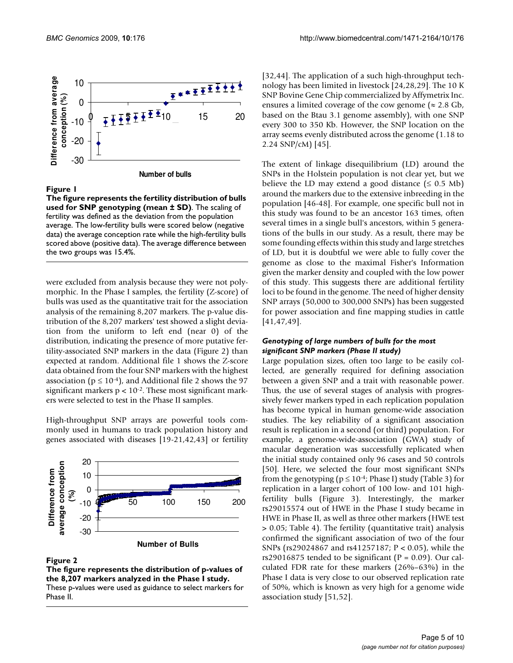<span id="page-4-0"></span>

**Number of bulls**

Figure 1

**The figure represents the fertility distribution of bulls used for SNP genotyping (mean ± SD)**. The scaling of fertility was defined as the deviation from the population average. The low-fertility bulls were scored below (negative data) the average conception rate while the high-fertility bulls scored above (positive data). The average difference between the two groups was 15.4%.

were excluded from analysis because they were not polymorphic. In the Phase I samples, the fertility (Z-score) of bulls was used as the quantitative trait for the association analysis of the remaining 8,207 markers. The p-value distribution of the 8,207 markers' test showed a slight deviation from the uniform to left end (near 0) of the distribution, indicating the presence of more putative fertility-associated SNP markers in the data (Figure [2\)](#page-4-1) than expected at random. Additional file [1](#page-7-10) shows the Z-score data obtained from the four SNP markers with the highest association ( $p \le 10^{-4}$ ), and Additional file [2](#page-7-11) shows the 97 significant markers  $p < 10^{-2}$ . These most significant markers were selected to test in the Phase II samples.

High-throughput SNP arrays are powerful tools commonly used in humans to track population history and genes associated with diseases [\[19](#page-8-6)[-21](#page-8-3),[42,](#page-8-17)[43\]](#page-8-18) or fertility

<span id="page-4-1"></span>

Figure 2

**The figure represents the distribution of p-values of the 8,207 markers analyzed in the Phase I study.** These p-values were used as guidance to select markers for Phase II.

[[32](#page-8-19),[44\]](#page-8-20). The application of a such high-throughput technology has been limited in livestock [[24,](#page-8-21)[28](#page-8-22)[,29](#page-8-5)]. The 10 K SNP Bovine Gene Chip commercialized by Affymetrix Inc. ensures a limited coverage of the cow genome ( $\approx 2.8$  Gb, based on the Btau 3.1 genome assembly), with one SNP every 300 to 350 Kb. However, the SNP location on the array seems evenly distributed across the genome (1.18 to 2.24 SNP/cM) [[45\]](#page-8-23).

The extent of linkage disequilibrium (LD) around the SNPs in the Holstein population is not clear yet, but we believe the LD may extend a good distance  $( \leq 0.5 \text{ Mb})$ around the markers due to the extensive inbreeding in the population [\[46](#page-8-24)[-48](#page-8-25)]. For example, one specific bull not in this study was found to be an ancestor 163 times, often several times in a single bull's ancestors, within 5 generations of the bulls in our study. As a result, there may be some founding effects within this study and large stretches of LD, but it is doubtful we were able to fully cover the genome as close to the maximal Fisher's Information given the marker density and coupled with the low power of this study. This suggests there are additional fertility loci to be found in the genome. The need of higher density SNP arrays (50,000 to 300,000 SNPs) has been suggested for power association and fine mapping studies in cattle [[41](#page-8-16),[47,](#page-8-26)[49](#page-8-27)].

#### *Genotyping of large numbers of bulls for the most significant SNP markers (Phase II study)*

Large population sizes, often too large to be easily collected, are generally required for defining association between a given SNP and a trait with reasonable power. Thus, the use of several stages of analysis with progressively fewer markers typed in each replication population has become typical in human genome-wide association studies. The key reliability of a significant association result is replication in a second (or third) population. For example, a genome-wide-association (GWA) study of macular degeneration was successfully replicated when the initial study contained only 96 cases and 50 controls [[50](#page-8-28)]. Here, we selected the four most significant SNPs from the genotyping ( $p \le 10^{-4}$ ; Phase I) study (Table [3\)](#page-5-0) for replication in a larger cohort of 100 low- and 101 highfertility bulls (Figure [3\)](#page-6-0). Interestingly, the marker rs29015574 out of HWE in the Phase I study became in HWE in Phase II, as well as three other markers (HWE test > 0.05; Table [4](#page-5-1)). The fertility (quantitative trait) analysis confirmed the significant association of two of the four SNPs (rs29024867 and rs41257187; P < 0.05), while the rs29016875 tended to be significant ( $P = 0.09$ ). Our calculated FDR rate for these markers (26%–63%) in the Phase I data is very close to our observed replication rate of 50%, which is known as very high for a genome wide association study [\[51](#page-8-29)[,52](#page-8-30)].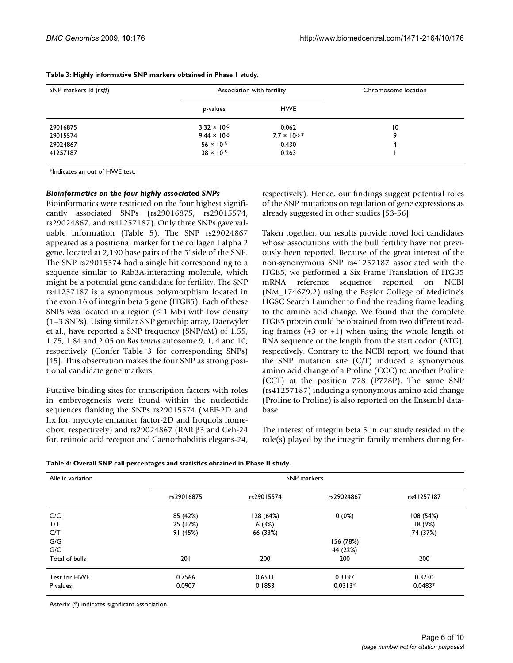| SNP markers Id (rs#) | Association with fertility | Chromosome location  |    |
|----------------------|----------------------------|----------------------|----|
|                      | p-values                   | <b>HWE</b>           |    |
| 29016875             | $3.32 \times 10^{-5}$      | 0.062                | 10 |
| 29015574             | $9.44 \times 10^{-5}$      | $7.7 \times 10^{-6}$ | 9  |
| 29024867             | $56 \times 10^{-5}$        | 0.430                | 4  |
| 41257187             | $38 \times 10^{-5}$        | 0.263                |    |

#### <span id="page-5-0"></span>**Table 3: Highly informative SNP markers obtained in Phase 1 study.**

\*Indicates an out of HWE test.

#### *Bioinformatics on the four highly associated SNPs*

Bioinformatics were restricted on the four highest significantly associated SNPs (rs29016875, rs29015574, rs29024867, and rs41257187). Only three SNPs gave valuable information (Table [5\)](#page-6-1). The SNP rs29024867 appeared as a positional marker for the collagen I alpha 2 gene, located at 2,190 base pairs of the 5' side of the SNP. The SNP rs29015574 had a single hit corresponding to a sequence similar to Rab3A-interacting molecule, which might be a potential gene candidate for fertility. The SNP rs41257187 is a synonymous polymorphism located in the exon 16 of integrin beta 5 gene (ITGB5). Each of these SNPs was located in a region  $(≤ 1$  Mb) with low density (1–3 SNPs). Using similar SNP genechip array, Daetwyler et al., have reported a SNP frequency (SNP/cM) of 1.55, 1.75, 1.84 and 2.05 on *Bos taurus* autosome 9, 1, 4 and 10, respectively (Confer Table [3](#page-5-0) for corresponding SNPs) [[45](#page-8-23)]. This observation makes the four SNP as strong positional candidate gene markers.

Putative binding sites for transcription factors with roles in embryogenesis were found within the nucleotide sequences flanking the SNPs rs29015574 (MEF-2D and Irx for, myocyte enhancer factor-2D and Iroquois homeobox, respectively) and rs29024867 (RAR β3 and Ceh-24 for, retinoic acid receptor and Caenorhabditis elegans-24,

respectively). Hence, our findings suggest potential roles of the SNP mutations on regulation of gene expressions as already suggested in other studies [[53-](#page-8-31)[56\]](#page-9-0).

Taken together, our results provide novel loci candidates whose associations with the bull fertility have not previously been reported. Because of the great interest of the non-synonymous SNP rs41257187 associated with the ITGB5, we performed a Six Frame Translation of ITGB5 mRNA reference sequence reported on NCBI (NM\_174679.2) using the Baylor College of Medicine's HGSC Search Launcher to find the reading frame leading to the amino acid change. We found that the complete ITGB5 protein could be obtained from two different reading frames  $(+3 \text{ or } +1)$  when using the whole length of RNA sequence or the length from the start codon (ATG), respectively. Contrary to the NCBI report, we found that the SNP mutation site (C/T) induced a synonymous amino acid change of a Proline (CCC) to another Proline (CCT) at the position 778 (P778P). The same SNP (rs41257187) inducing a synonymous amino acid change (Proline to Proline) is also reported on the Ensembl database.

The interest of integrin beta 5 in our study resided in the role(s) played by the integrin family members during fer-

<span id="page-5-1"></span>

|  | Table 4: Overall SNP call percentages and statistics obtained in Phase II study. |  |  |
|--|----------------------------------------------------------------------------------|--|--|
|  |                                                                                  |  |  |

| Allelic variation |             |            |            |            |  |
|-------------------|-------------|------------|------------|------------|--|
|                   | SNP markers |            |            |            |  |
|                   | rs29016875  | rs29015574 | rs29024867 | rs41257187 |  |
| C/C               | 85 (42%)    | 128(64%)   | $0(0\%)$   | 108(54%)   |  |
| T/T               | 25 (12%)    | 6(3%)      |            | 18 (9%)    |  |
| C/T               | 91 (45%)    | 66 (33%)   |            | 74 (37%)   |  |
| G/G               |             | 156 (78%)  |            |            |  |
| G/C               |             |            | 44 (22%)   |            |  |
| Total of bulls    | 201         | 200        | 200        | 200        |  |
| Test for HWE      | 0.7566      | 0.6511     | 0.3197     | 0.3730     |  |
| P values          | 0.0907      | 0.1853     | $0.0313*$  | $0.0483*$  |  |

Asterix (\*) indicates significant association.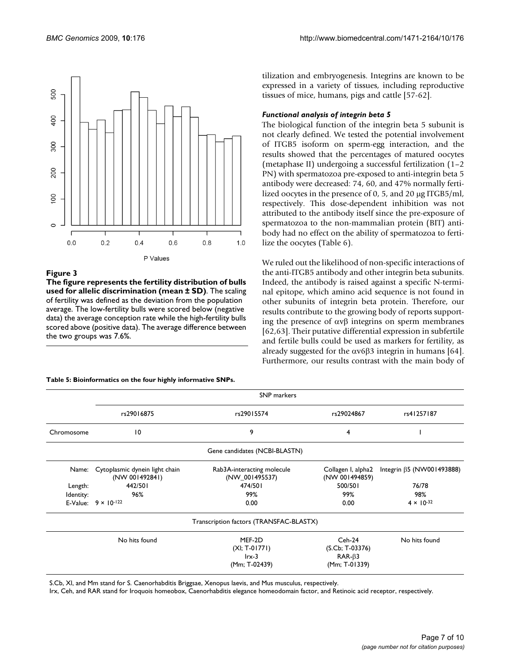<span id="page-6-0"></span>

#### Figure 3

**The figure represents the fertility distribution of bulls used for allelic discrimination (mean ± SD)**. The scaling of fertility was defined as the deviation from the population average. The low-fertility bulls were scored below (negative data) the average conception rate while the high-fertility bulls scored above (positive data). The average difference between the two groups was 7.6%.

<span id="page-6-1"></span>**Table 5: Bioinformatics on the four highly informative SNPs.**

tilization and embryogenesis. Integrins are known to be expressed in a variety of tissues, including reproductive tissues of mice, humans, pigs and cattle [\[57-](#page-9-1)[62\]](#page-9-2).

#### *Functional analysis of integrin beta 5*

The biological function of the integrin beta 5 subunit is not clearly defined. We tested the potential involvement of ITGB5 isoform on sperm-egg interaction, and the results showed that the percentages of matured oocytes (metaphase II) undergoing a successful fertilization (1–2 PN) with spermatozoa pre-exposed to anti-integrin beta 5 antibody were decreased: 74, 60, and 47% normally fertilized oocytes in the presence of 0, 5, and 20 μg ITGB5/ml, respectively. This dose-dependent inhibition was not attributed to the antibody itself since the pre-exposure of spermatozoa to the non-mammalian protein (BIT) antibody had no effect on the ability of spermatozoa to fertilize the oocytes (Table [6\)](#page-7-12).

We ruled out the likelihood of non-specific interactions of the anti-ITGB5 antibody and other integrin beta subunits. Indeed, the antibody is raised against a specific N-terminal epitope, which amino acid sequence is not found in other subunits of integrin beta protein. Therefore, our results contribute to the growing body of reports supporting the presence of αvβ integrins on sperm membranes [[62](#page-9-2),[63\]](#page-9-3). Their putative differential expression in subfertile and fertile bulls could be used as markers for fertility, as already suggested for the  $\alpha$ v $6\beta$ 3 integrin in humans [\[64](#page-9-4)]. Furthermore, our results contrast with the main body of

|            |                                                  | SNP markers                                           |                                                            |                                  |  |
|------------|--------------------------------------------------|-------------------------------------------------------|------------------------------------------------------------|----------------------------------|--|
|            | rs29016875                                       | rs29015574                                            | rs29024867                                                 | rs41257187                       |  |
| Chromosome | $\overline{10}$                                  | 9                                                     | 4                                                          |                                  |  |
|            |                                                  | Gene candidates (NCBI-BLASTN)                         |                                                            |                                  |  |
| Name:      | Cytoplasmic dynein light chain<br>(NW 001492841) | Rab3A-interacting molecule<br>(NW_001495537)          | Collagen I, alpha2<br>(NW 001494859)                       | Integrin $\beta$ 5 (NW001493888) |  |
| Length:    | 442/501                                          | 474/501                                               | 500/501                                                    | 76/78                            |  |
| Identity:  | 96%                                              | 99%                                                   | 99%                                                        | 98%                              |  |
|            | E-Value: $9 \times 10^{-122}$                    | 0.00                                                  | 0.00                                                       | $4 \times 10^{-32}$              |  |
|            |                                                  | Transcription factors (TRANSFAC-BLASTX)               |                                                            |                                  |  |
|            | No hits found                                    | MEF-2D<br>$(XI; T-0177I)$<br>$Irx-3$<br>(Mm; T-02439) | Ceh-24<br>(S.Cb; T-03376)<br>$RAR-\beta3$<br>(Mm; T-01339) | No hits found                    |  |

S.Cb, Xl, and Mm stand for S. Caenorhabditis Briggsae, Xenopus laevis, and Mus musculus, respectively.

Irx, Ceh, and RAR stand for Iroquois homeobox, Caenorhabditis elegance homeodomain factor, and Retinoic acid receptor, respectively.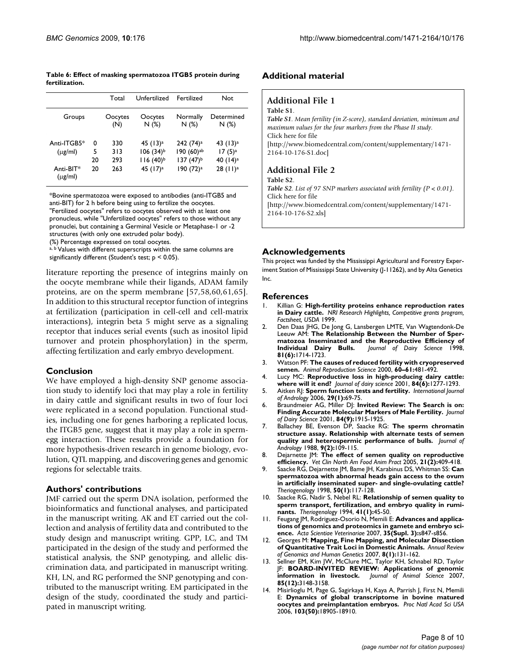<span id="page-7-12"></span>**Table 6: Effect of masking spermatozoa ITGB5 protein during fertilization.**

|              |    | Total          | Unfertilized         | Fertilized              | <b>Not</b>           |
|--------------|----|----------------|----------------------|-------------------------|----------------------|
| Groups       |    | Oocytes<br>(N) | Oocytes<br>N(%)      | Normally<br>N(%)        | Determined<br>N (%)  |
| Anti-ITGB5*  | 0  | 330            | 45(13) <sup>a</sup>  | 242 (74) <sup>a</sup>   | 43 (13) <sup>a</sup> |
| $(\mu$ g/ml) | 5  | 313            | 106(34) <sup>b</sup> | $190(60)$ <sup>ab</sup> | 17(5) <sup>a</sup>   |
| Anti-BIT*    | 20 | 293            | $116(40)^{b}$        | $137(47)^{b}$           | 40 $(14)^a$          |
| $(\mu$ g/ml) | 20 | 263            | 45 $(17)a$           | 190 (72) <sup>a</sup>   | 28 (11) <sup>a</sup> |

\*Bovine spermatozoa were exposed to antibodies (anti-ITGB5 and anti-BIT) for 2 h before being using to fertilize the oocytes. "Fertilized oocytes" refers to oocytes observed with at least one pronucleus, while "Unfertilized oocytes" refers to those without any pronuclei, but containing a Germinal Vesicle or Metaphase-1 or -2 structures (with only one extruded polar body).

(%) Percentage expressed on total oocytes.

a, b Values with different superscripts within the same columns are significantly different (Student's test; p < 0.05).

literature reporting the presence of integrins mainly on the oocyte membrane while their ligands, ADAM family proteins, are on the sperm membrane [[57](#page-9-1)[,58](#page-9-5),[60](#page-9-6),[61](#page-9-7)[,65](#page-9-8)]. In addition to this structural receptor function of integrins at fertilization (participation in cell-cell and cell-matrix interactions), integrin beta 5 might serve as a signaling receptor that induces serial events (such as inositol lipid turnover and protein phosphorylation) in the sperm, affecting fertilization and early embryo development.

## **Conclusion**

We have employed a high-density SNP genome association study to identify loci that may play a role in fertility in dairy cattle and significant results in two of four loci were replicated in a second population. Functional studies, including one for genes harboring a replicated locus, the ITGB5 gene, suggest that it may play a role in spermegg interaction. These results provide a foundation for more hypothesis-driven research in genome biology, evolution, QTL mapping, and discovering genes and genomic regions for selectable traits.

## **Authors' contributions**

JMF carried out the sperm DNA isolation, performed the bioinformatics and functional analyses, and participated in the manuscript writing. AK and ET carried out the collection and analysis of fertility data and contributed to the study design and manuscript writing. GPP, LC, and TM participated in the design of the study and performed the statistical analysis, the SNP genotyping, and allelic discrimination data, and participated in manuscript writing. KH, LN, and RG performed the SNP genotyping and contributed to the manuscript writing. EM participated in the design of the study, coordinated the study and participated in manuscript writing.

## **Additional material**

<span id="page-7-11"></span><span id="page-7-10"></span>

| <b>Additional File 1</b>                                                                                                                                              |
|-----------------------------------------------------------------------------------------------------------------------------------------------------------------------|
| Table S1.                                                                                                                                                             |
| <b>Table S1</b> . Mean fertility (in Z-score), standard deviation, minimum and<br>maximum values for the four markers from the Phase II study.<br>Click here for file |
| [http://www.biomedcentral.com/content/supplementary/1471-                                                                                                             |
| 2164-10-176-S1.docl                                                                                                                                                   |
| <b>Additional File 2</b>                                                                                                                                              |
| Table S <sub>2</sub> .                                                                                                                                                |
| <b>Table S2.</b> List of 97 SNP markers associated with fertility $(P < 0.01)$ .                                                                                      |
| Click here for file                                                                                                                                                   |
| [http://www.biomedcentral.com/content/supplementary/1471-                                                                                                             |
| 2164-10-176-S2.xls                                                                                                                                                    |

## **Acknowledgements**

This project was funded by the Mississippi Agricultural and Forestry Experiment Station of Mississippi State University (J-11262), and by Alta Genetics Inc.

#### **References**

- <span id="page-7-0"></span>1. Killian G: **High-fertility proteins enhance reproduction rates in Dairy cattle.** *NRI Research Highlights, Competitive grants program, Factsheet, USDA* 1999.
- <span id="page-7-1"></span>2. Den Daas JHG, De Jong G, Lansbergen LMTE, Van Wagtendonk-De Leeuw AM: **[The Relationship Between the Number of Sper](http://www.ncbi.nlm.nih.gov/entrez/query.fcgi?cmd=Retrieve&db=PubMed&dopt=Abstract&list_uids=9684179)[matozoa Inseminated and the Reproductive Efficiency of](http://www.ncbi.nlm.nih.gov/entrez/query.fcgi?cmd=Retrieve&db=PubMed&dopt=Abstract&list_uids=9684179) [Individual Dairy Bulls.](http://www.ncbi.nlm.nih.gov/entrez/query.fcgi?cmd=Retrieve&db=PubMed&dopt=Abstract&list_uids=9684179)** *Journal of Dairy Science* 1998, **81(6):**1714-1723.
- <span id="page-7-2"></span>3. Watson PF: **The causes of reduced fertility with cryopreserved semen.** *Animal Reproduction Science* 2000, **60–61:**481-492.
- <span id="page-7-3"></span>4. Lucy MC: **[Reproductive loss in high-producing dairy cattle:](http://www.ncbi.nlm.nih.gov/entrez/query.fcgi?cmd=Retrieve&db=PubMed&dopt=Abstract&list_uids=11417685) [where will it end?](http://www.ncbi.nlm.nih.gov/entrez/query.fcgi?cmd=Retrieve&db=PubMed&dopt=Abstract&list_uids=11417685)** *Journal of dairy science* 2001, **84(6):**1277-1293.
- 5. Aitken RJ: **[Sperm function tests and fertility.](http://www.ncbi.nlm.nih.gov/entrez/query.fcgi?cmd=Retrieve&db=PubMed&dopt=Abstract&list_uids=16466526)** *International Journal of Andrology* 2006, **29(1):**69-75.
- <span id="page-7-4"></span>6. Braundmeier AG, Miller DJ: **[Invited Review: The Search is on:](http://www.ncbi.nlm.nih.gov/entrez/query.fcgi?cmd=Retrieve&db=PubMed&dopt=Abstract&list_uids=11573769) [Finding Accurate Molecular Markers of Male Fertility.](http://www.ncbi.nlm.nih.gov/entrez/query.fcgi?cmd=Retrieve&db=PubMed&dopt=Abstract&list_uids=11573769)** *Journal of Dairy Science* 2001, **84(9):**1915-1925.
- <span id="page-7-5"></span>7. Ballachey BE, Evenson DP, Saacke RG: **[The sperm chromatin](http://www.ncbi.nlm.nih.gov/entrez/query.fcgi?cmd=Retrieve&db=PubMed&dopt=Abstract&list_uids=3384741) [structure assay. Relationship with alternate tests of semen](http://www.ncbi.nlm.nih.gov/entrez/query.fcgi?cmd=Retrieve&db=PubMed&dopt=Abstract&list_uids=3384741) [quality and heterospermic performance of bulls.](http://www.ncbi.nlm.nih.gov/entrez/query.fcgi?cmd=Retrieve&db=PubMed&dopt=Abstract&list_uids=3384741)** *Journal of Andrology* 1988, **9(2):**109-115.
- 8. Dejarnette JM: **[The effect of semen quality on reproductive](http://www.ncbi.nlm.nih.gov/entrez/query.fcgi?cmd=Retrieve&db=PubMed&dopt=Abstract&list_uids=15955437) [efficiency.](http://www.ncbi.nlm.nih.gov/entrez/query.fcgi?cmd=Retrieve&db=PubMed&dopt=Abstract&list_uids=15955437)** *Vet Clin North Am Food Anim Pract* 2005, **21(2):**409-418.
- 9. Saacke RG, Dejarnette JM, Bame JH, Karabinus DS, Whitman SS: **[Can](http://www.ncbi.nlm.nih.gov/entrez/query.fcgi?cmd=Retrieve&db=PubMed&dopt=Abstract&list_uids=10734480) [spermatozoa with abnormal heads gain access to the ovum](http://www.ncbi.nlm.nih.gov/entrez/query.fcgi?cmd=Retrieve&db=PubMed&dopt=Abstract&list_uids=10734480) in artificially inseminated super- and single-ovulating cattle?** *Theriogenology* 1998, **50(1):**117-128.
- <span id="page-7-6"></span>10. Saacke RG, Nadir S, Nebel RL: **Relationship of semen quality to sperm transport, fertilization, and embryo quality in ruminants.** *Theriogenology* 1994, **41(1):**45-50.
- <span id="page-7-7"></span>11. Feugang JM, Rodriguez-Osorio N, Memili E: **Advances and applications of genomics and proteomics in gamete and embryo science.** *Acta Scientiae Veterinariae* 2007, **35(Supl. 3):**s847-s856.
- <span id="page-7-9"></span>12. Georges M: **Mapping, Fine Mapping, and Molecular Dissection of Quantitative Trait Loci in Domestic Animals.** *Annual Review of Genomics and Human Genetics* 2007, **8(1):**131-162.
- 13. Sellner EM, Kim JW, McClure MC, Taylor KH, Schnabel RD, Taylor JF: **[BOARD-INVITED REVIEW: Applications of genomic](http://www.ncbi.nlm.nih.gov/entrez/query.fcgi?cmd=Retrieve&db=PubMed&dopt=Abstract&list_uids=17709778) [information in livestock.](http://www.ncbi.nlm.nih.gov/entrez/query.fcgi?cmd=Retrieve&db=PubMed&dopt=Abstract&list_uids=17709778)** *Journal of Animal Science* 2007, **85(12):**3148-3158.
- <span id="page-7-8"></span>Misirlioglu M, Page G, Sagirkaya H, Kaya A, Parrish J, First N, Memili E: **[Dynamics of global transcriptome in bovine matured](http://www.ncbi.nlm.nih.gov/entrez/query.fcgi?cmd=Retrieve&db=PubMed&dopt=Abstract&list_uids=17142320) [oocytes and preimplantation embryos.](http://www.ncbi.nlm.nih.gov/entrez/query.fcgi?cmd=Retrieve&db=PubMed&dopt=Abstract&list_uids=17142320)** *Proc Natl Acad Sci USA* 2006, **103(50):**18905-18910.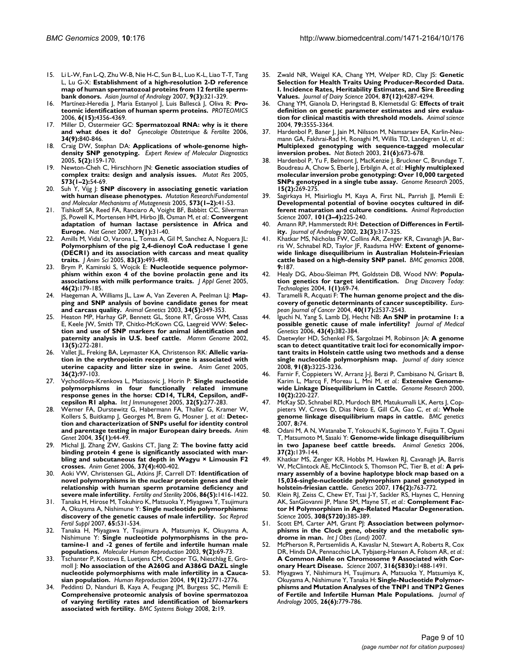- <span id="page-8-0"></span>15. Li L-W, Fan L-Q, Zhu W-B, Nie H-C, Sun B-L, Luo K-L, Liao T-T, Tang L, Lu G-X: **[Establishment of a high-resolution 2-D reference](http://www.ncbi.nlm.nih.gov/entrez/query.fcgi?cmd=Retrieve&db=PubMed&dopt=Abstract&list_uids=17486272) [map of human spermatozoal proteins from 12 fertile sperm](http://www.ncbi.nlm.nih.gov/entrez/query.fcgi?cmd=Retrieve&db=PubMed&dopt=Abstract&list_uids=17486272)[bank donors.](http://www.ncbi.nlm.nih.gov/entrez/query.fcgi?cmd=Retrieve&db=PubMed&dopt=Abstract&list_uids=17486272)** *Asian Journal of Andrology* 2007, **9(3):**321-329.
- 16. Martínez-Heredia J, Maria Estanyol J, Luis Ballescà J, Oliva R: **[Pro](http://www.ncbi.nlm.nih.gov/entrez/query.fcgi?cmd=Retrieve&db=PubMed&dopt=Abstract&list_uids=16819732)[teomic identification of human sperm proteins.](http://www.ncbi.nlm.nih.gov/entrez/query.fcgi?cmd=Retrieve&db=PubMed&dopt=Abstract&list_uids=16819732)** *PROTEOMICS* 2006, **6(15):**4356-4369.
- <span id="page-8-1"></span>17. Miller D, Ostermeier GC: **Spermatozoal RNA: why is it there and what does it do?** *Gynecologie Obstetrique & Fertilite* 2006, **34(9):**840-846.
- <span id="page-8-2"></span>18. Craig DW, Stephan DA: **[Applications of whole-genome high](http://www.ncbi.nlm.nih.gov/entrez/query.fcgi?cmd=Retrieve&db=PubMed&dopt=Abstract&list_uids=15833046)[density SNP genotyping.](http://www.ncbi.nlm.nih.gov/entrez/query.fcgi?cmd=Retrieve&db=PubMed&dopt=Abstract&list_uids=15833046)** *Expert Review of Molecular Diagnostics* 2005, **5(2):**159-170.
- <span id="page-8-6"></span>19. Newton-Cheh C, Hirschhorn JN: **[Genetic association studies of](http://www.ncbi.nlm.nih.gov/entrez/query.fcgi?cmd=Retrieve&db=PubMed&dopt=Abstract&list_uids=15829237) [complex traits: design and analysis issues.](http://www.ncbi.nlm.nih.gov/entrez/query.fcgi?cmd=Retrieve&db=PubMed&dopt=Abstract&list_uids=15829237)** *Mutat Res* 2005, **573(1–2):**54-69.
- 20. Suh Y, Vijg J: **SNP discovery in associating genetic variation with human disease phenotypes.** *Mutation Research/Fundamental and Molecular Mechanisms of Mutagenesis* 2005, **573(1–2):**41-53.
- <span id="page-8-3"></span>21. Tishkoff SA, Reed FA, Ranciaro A, Voight BF, Babbitt CC, Silverman JS, Powell K, Mortensen HM, Hirbo JB, Osman M, *et al.*: **[Convergent](http://www.ncbi.nlm.nih.gov/entrez/query.fcgi?cmd=Retrieve&db=PubMed&dopt=Abstract&list_uids=17159977) [adaptation of human lactase persistence in Africa and](http://www.ncbi.nlm.nih.gov/entrez/query.fcgi?cmd=Retrieve&db=PubMed&dopt=Abstract&list_uids=17159977) [Europe.](http://www.ncbi.nlm.nih.gov/entrez/query.fcgi?cmd=Retrieve&db=PubMed&dopt=Abstract&list_uids=17159977)** *Nat Genet* 2007, **39(1):**31-40.
- <span id="page-8-4"></span>22. Amills M, Vidal O, Varona L, Tomas A, Gil M, Sanchez A, Noguera JL: **[Polymorphism of the pig 2,4-dienoyl CoA reductase 1 gene](http://www.ncbi.nlm.nih.gov/entrez/query.fcgi?cmd=Retrieve&db=PubMed&dopt=Abstract&list_uids=15705744) (DECR1) and its association with carcass and meat quality [traits.](http://www.ncbi.nlm.nih.gov/entrez/query.fcgi?cmd=Retrieve&db=PubMed&dopt=Abstract&list_uids=15705744)** *J Anim Sci* 2005, **83(3):**493-498.
- 23. Brym P, Kaminski S, Wojcik E: **[Nucleotide sequence polymor](http://www.ncbi.nlm.nih.gov/entrez/query.fcgi?cmd=Retrieve&db=PubMed&dopt=Abstract&list_uids=15876685)[phism within exon 4 of the bovine prolactin gene and its](http://www.ncbi.nlm.nih.gov/entrez/query.fcgi?cmd=Retrieve&db=PubMed&dopt=Abstract&list_uids=15876685) [associations with milk performance traits.](http://www.ncbi.nlm.nih.gov/entrez/query.fcgi?cmd=Retrieve&db=PubMed&dopt=Abstract&list_uids=15876685)** *J Appl Genet* 2005, **46(2):**179-185.
- <span id="page-8-21"></span>24. Haegeman A, Williams JL, Law A, Van Zeveren A, Peelman LJ: [Map](http://www.ncbi.nlm.nih.gov/entrez/query.fcgi?cmd=Retrieve&db=PubMed&dopt=Abstract&list_uids=14510670)**[ping and SNP analysis of bovine candidate genes for meat](http://www.ncbi.nlm.nih.gov/entrez/query.fcgi?cmd=Retrieve&db=PubMed&dopt=Abstract&list_uids=14510670) [and carcass quality.](http://www.ncbi.nlm.nih.gov/entrez/query.fcgi?cmd=Retrieve&db=PubMed&dopt=Abstract&list_uids=14510670)** *Animal Genetics* 2003, **34(5):**349-353.
- 25. Heaton MP, Harhay GP, Bennett GL, Stone RT, Grosse WM, Casas E, Keele JW, Smith TP, Chitko-McKown CG, Laegreid WW: **[Selec](http://www.ncbi.nlm.nih.gov/entrez/query.fcgi?cmd=Retrieve&db=PubMed&dopt=Abstract&list_uids=12016516)[tion and use of SNP markers for animal identification and](http://www.ncbi.nlm.nih.gov/entrez/query.fcgi?cmd=Retrieve&db=PubMed&dopt=Abstract&list_uids=12016516) [paternity analysis in U.S. beef cattle.](http://www.ncbi.nlm.nih.gov/entrez/query.fcgi?cmd=Retrieve&db=PubMed&dopt=Abstract&list_uids=12016516)** *Mamm Genome* 2002, **13(5):**272-281.
- Vallet JL, Freking BA, Leymaster KA, Christenson RK: **[Allelic varia](http://www.ncbi.nlm.nih.gov/entrez/query.fcgi?cmd=Retrieve&db=PubMed&dopt=Abstract&list_uids=15771717)[tion in the erythropoietin receptor gene is associated with](http://www.ncbi.nlm.nih.gov/entrez/query.fcgi?cmd=Retrieve&db=PubMed&dopt=Abstract&list_uids=15771717) [uterine capacity and litter size in swine.](http://www.ncbi.nlm.nih.gov/entrez/query.fcgi?cmd=Retrieve&db=PubMed&dopt=Abstract&list_uids=15771717)** *Anim Genet* 2005, **36(2):**97-103.
- 27. Vychodilova-Krenkova L, Matiasovic J, Horin P: **[Single nucleotide](http://www.ncbi.nlm.nih.gov/entrez/query.fcgi?cmd=Retrieve&db=PubMed&dopt=Abstract&list_uids=16164694) [polymorphisms in four functionally related immune](http://www.ncbi.nlm.nih.gov/entrez/query.fcgi?cmd=Retrieve&db=PubMed&dopt=Abstract&list_uids=16164694) response genes in the horse: CD14, TLR4, Cepsilon, andF[cepsilon R1 alpha.](http://www.ncbi.nlm.nih.gov/entrez/query.fcgi?cmd=Retrieve&db=PubMed&dopt=Abstract&list_uids=16164694)** *Int J Immunogenet* 2005, **32(5):**277-283.
- <span id="page-8-22"></span>28. Werner FA, Durstewitz G, Habermann FA, Thaller G, Kramer W, Kollers S, Buitkamp J, Georges M, Brem G, Mosner J, *et al.*: **[Detec](http://www.ncbi.nlm.nih.gov/entrez/query.fcgi?cmd=Retrieve&db=PubMed&dopt=Abstract&list_uids=14731229)[tion and characterization of SNPs useful for identity control](http://www.ncbi.nlm.nih.gov/entrez/query.fcgi?cmd=Retrieve&db=PubMed&dopt=Abstract&list_uids=14731229) [and parentage testing in major European dairy breeds.](http://www.ncbi.nlm.nih.gov/entrez/query.fcgi?cmd=Retrieve&db=PubMed&dopt=Abstract&list_uids=14731229)** *Anim Genet* 2004, **35(1):**44-49.
- <span id="page-8-5"></span>29. Michal JJ, Zhang ZW, Gaskins CT, Jiang Z: [The bovine fatty acid](http://www.ncbi.nlm.nih.gov/entrez/query.fcgi?cmd=Retrieve&db=PubMed&dopt=Abstract&list_uids=16879357) **[binding protein 4 gene is significantly associated with mar](http://www.ncbi.nlm.nih.gov/entrez/query.fcgi?cmd=Retrieve&db=PubMed&dopt=Abstract&list_uids=16879357)bling and subcutaneous fat depth in Wagyu × Limousin F2 [crosses.](http://www.ncbi.nlm.nih.gov/entrez/query.fcgi?cmd=Retrieve&db=PubMed&dopt=Abstract&list_uids=16879357)** *Anim Genet* 2006, **37(4):**400-402.
- <span id="page-8-7"></span>30. Aoki VW, Christensen GL, Atkins JF, Carrell DT: **Identification of novel polymorphisms in the nuclear protein genes and their relationship with human sperm protamine deficiency and severe male infertility.** *Fertility and Sterility* 2006, **86(5):**1416-1422.
- 31. Tanaka H, Hirose M, Tokuhiro K, Matsuoka Y, Miyagawa Y, Tsujimura A, Okuyama A, Nishimune Y: **[Single nucleotide polymorphisms:](http://www.ncbi.nlm.nih.gov/entrez/query.fcgi?cmd=Retrieve&db=PubMed&dopt=Abstract&list_uids=17644991) [discovery of the genetic causes of male infertility.](http://www.ncbi.nlm.nih.gov/entrez/query.fcgi?cmd=Retrieve&db=PubMed&dopt=Abstract&list_uids=17644991)** *Soc Reprod Fertil Suppl* 2007, **65:**531-534.
- <span id="page-8-19"></span>32. Tanaka H, Miyagawa Y, Tsujimura A, Matsumiya K, Okuyama A, Nishimune Y: **[Single nucleotide polymorphisms in the pro](http://www.ncbi.nlm.nih.gov/entrez/query.fcgi?cmd=Retrieve&db=PubMed&dopt=Abstract&list_uids=12569175)[tamine-1 and -2 genes of fertile and infertile human male](http://www.ncbi.nlm.nih.gov/entrez/query.fcgi?cmd=Retrieve&db=PubMed&dopt=Abstract&list_uids=12569175) [populations.](http://www.ncbi.nlm.nih.gov/entrez/query.fcgi?cmd=Retrieve&db=PubMed&dopt=Abstract&list_uids=12569175)** *Molecular Human Reproduction* 2003, **9(2):**69-73.
- <span id="page-8-8"></span>33. Tschanter P, Kostova E, Luetjens CM, Cooper TG, Nieschlag E, Gromoll J: **[No association of the A260G and A386G DAZL single](http://www.ncbi.nlm.nih.gov/entrez/query.fcgi?cmd=Retrieve&db=PubMed&dopt=Abstract&list_uids=15520024) [nucleotide polymorphisms with male infertility in a Cauca](http://www.ncbi.nlm.nih.gov/entrez/query.fcgi?cmd=Retrieve&db=PubMed&dopt=Abstract&list_uids=15520024)[sian population.](http://www.ncbi.nlm.nih.gov/entrez/query.fcgi?cmd=Retrieve&db=PubMed&dopt=Abstract&list_uids=15520024)** *Human Reproduction* 2004, **19(12):**2771-2776.
- <span id="page-8-9"></span>34. Peddinti D, Nanduri B, Kaya A, Feugang JM, Burgess SC, Memili E: **[Comprehensive proteomic analysis of bovine spermatozoa](http://www.ncbi.nlm.nih.gov/entrez/query.fcgi?cmd=Retrieve&db=PubMed&dopt=Abstract&list_uids=18294385) of varying fertility rates and identification of biomarkers [associated with fertility.](http://www.ncbi.nlm.nih.gov/entrez/query.fcgi?cmd=Retrieve&db=PubMed&dopt=Abstract&list_uids=18294385)** *BMC Systems Biology* 2008, **2:**19.
- <span id="page-8-10"></span>35. Zwald NR, Weigel KA, Chang YM, Welper RD, Clay JS: **[Genetic](http://www.ncbi.nlm.nih.gov/entrez/query.fcgi?cmd=Retrieve&db=PubMed&dopt=Abstract&list_uids=15545392) [Selection for Health Traits Using Producer-Recorded Data.](http://www.ncbi.nlm.nih.gov/entrez/query.fcgi?cmd=Retrieve&db=PubMed&dopt=Abstract&list_uids=15545392) I. Incidence Rates, Heritability Estimates, and Sire Breeding [Values.](http://www.ncbi.nlm.nih.gov/entrez/query.fcgi?cmd=Retrieve&db=PubMed&dopt=Abstract&list_uids=15545392)** *Journal of Dairy Science* 2004, **87(12):**4287-4294.
- <span id="page-8-11"></span>36. Chang YM, Gianola D, Heringstad B, Klemetsdal G: **Effects of trait definition on genetic parameter estimates and sire evaluation for clinical mastitis with threshold models.** *Animal science* 2004, **79:**3555-3364.
- <span id="page-8-12"></span>37. Hardenbol P, Baner J, Jain M, Nilsson M, Namsaraev EA, Karlin-Neumann GA, Fakhrai-Rad H, Ronaghi M, Willis TD, Landegren U, *et al.*: **Multiplexed genotyping with sequence-tagged molecular inversion probes.** *Nat Biotech* 2003, **21(6):**673-678.
- <span id="page-8-13"></span>38. Hardenbol P, Yu F, Belmont J, MacKenzie J, Bruckner C, Brundage T, Boudreau A, Chow S, Eberle J, Erbilgin A, *et al.*: **[Highly multiplexed](http://www.ncbi.nlm.nih.gov/entrez/query.fcgi?cmd=Retrieve&db=PubMed&dopt=Abstract&list_uids=15687290) [molecular inversion probe genotyping: Over 10,000 targeted](http://www.ncbi.nlm.nih.gov/entrez/query.fcgi?cmd=Retrieve&db=PubMed&dopt=Abstract&list_uids=15687290) [SNPs genotyped in a single tube assay.](http://www.ncbi.nlm.nih.gov/entrez/query.fcgi?cmd=Retrieve&db=PubMed&dopt=Abstract&list_uids=15687290)** *Genome Research* 2005, **15(2):269-27**
- <span id="page-8-14"></span>Sagirkaya H, Misirlioglu M, Kaya A, First NL, Parrish JJ, Memili E: **[Developmental potential of bovine oocytes cultured in dif](http://www.ncbi.nlm.nih.gov/entrez/query.fcgi?cmd=Retrieve&db=PubMed&dopt=Abstract&list_uids=17052869)[ferent maturation and culture conditions.](http://www.ncbi.nlm.nih.gov/entrez/query.fcgi?cmd=Retrieve&db=PubMed&dopt=Abstract&list_uids=17052869)** *Animal Reproduction Science* 2007, **101(3–4):**225-240.
- <span id="page-8-15"></span>40. Amann RP, Hammerstedt RH: **[Detection of Differences in Fertil](http://www.ncbi.nlm.nih.gov/entrez/query.fcgi?cmd=Retrieve&db=PubMed&dopt=Abstract&list_uids=12002430)[ity.](http://www.ncbi.nlm.nih.gov/entrez/query.fcgi?cmd=Retrieve&db=PubMed&dopt=Abstract&list_uids=12002430)** *Journal of Andrology* 2002, **23(3):**317-325.
- <span id="page-8-16"></span>41. Khatkar MS, Nicholas FW, Collins AR, Zenger KR, Cavanagh JA, Barris W, Schnabel RD, Taylor JF, Raadsma HW: **[Extent of genome](http://www.ncbi.nlm.nih.gov/entrez/query.fcgi?cmd=Retrieve&db=PubMed&dopt=Abstract&list_uids=18435834)[wide linkage disequilibrium in Australian Holstein-Friesian](http://www.ncbi.nlm.nih.gov/entrez/query.fcgi?cmd=Retrieve&db=PubMed&dopt=Abstract&list_uids=18435834) [cattle based on a high-density SNP panel.](http://www.ncbi.nlm.nih.gov/entrez/query.fcgi?cmd=Retrieve&db=PubMed&dopt=Abstract&list_uids=18435834)** *BMC genomics* 2008, **9:**187.
- <span id="page-8-17"></span>42. Healy DG, Abou-Sleiman PM, Goldstein DB, Wood NW: **Population genetics for target identification.** *Drug Discovery Today: Technologies* 2004, **1(1):**69-74.
- <span id="page-8-18"></span>43. Taramelli R, Acquati F: **[The human genome project and the dis](http://www.ncbi.nlm.nih.gov/entrez/query.fcgi?cmd=Retrieve&db=PubMed&dopt=Abstract&list_uids=15541956)[covery of genetic determinants of cancer susceptibility.](http://www.ncbi.nlm.nih.gov/entrez/query.fcgi?cmd=Retrieve&db=PubMed&dopt=Abstract&list_uids=15541956)** *European Journal of Cancer* 2004, **40(17):**2537-2543.
- <span id="page-8-20"></span>44. Iguchi N, Yang S, Lamb DJ, Hecht NB: **[An SNP in protamine 1: a](http://www.ncbi.nlm.nih.gov/entrez/query.fcgi?cmd=Retrieve&db=PubMed&dopt=Abstract&list_uids=16199539) [possible genetic cause of male infertility?](http://www.ncbi.nlm.nih.gov/entrez/query.fcgi?cmd=Retrieve&db=PubMed&dopt=Abstract&list_uids=16199539)** *Journal of Medical Genetics* 2006, **43(4):**382-384.
- <span id="page-8-23"></span>45. Daetwyler HD, Schenkel FS, Sargolzaei M, Robinson JA: **[A genome](http://www.ncbi.nlm.nih.gov/entrez/query.fcgi?cmd=Retrieve&db=PubMed&dopt=Abstract&list_uids=18650300) [scan to detect quantitative trait loci for economically impor](http://www.ncbi.nlm.nih.gov/entrez/query.fcgi?cmd=Retrieve&db=PubMed&dopt=Abstract&list_uids=18650300)tant traits in Holstein cattle using two methods and a dense [single nucleotide polymorphism map.](http://www.ncbi.nlm.nih.gov/entrez/query.fcgi?cmd=Retrieve&db=PubMed&dopt=Abstract&list_uids=18650300)** *Journal of dairy science* 2008, **91(8):**3225-3236.
- <span id="page-8-24"></span>Farnir F, Coppieters W, Arranz J-J, Berzi P, Cambisano N, Grisart B, Karim L, Marcq F, Moreau L, Mni M, *et al.*: **[Extensive Genome](http://www.ncbi.nlm.nih.gov/entrez/query.fcgi?cmd=Retrieve&db=PubMed&dopt=Abstract&list_uids=10673279)[wide Linkage Disequilibrium in Cattle.](http://www.ncbi.nlm.nih.gov/entrez/query.fcgi?cmd=Retrieve&db=PubMed&dopt=Abstract&list_uids=10673279)** *Genome Research* 2000, **10(2):**220-227.
- <span id="page-8-26"></span>47. McKay SD, Schnabel RD, Murdoch BM, Matukumalli LK, Aerts J, Coppieters W, Crews D, Dias Neto E, Gill CA, Gao C, *et al.*: **[Whole](http://www.ncbi.nlm.nih.gov/entrez/query.fcgi?cmd=Retrieve&db=PubMed&dopt=Abstract&list_uids=17961247) [genome linkage disequilibrium maps in cattle.](http://www.ncbi.nlm.nih.gov/entrez/query.fcgi?cmd=Retrieve&db=PubMed&dopt=Abstract&list_uids=17961247)** *BMC genetics* 2007, **8:**74.
- <span id="page-8-25"></span>48. Odani M, A N, Watanabe T, Yokouchi K, Sugimoto Y, Fujita T, Oguni T, Matsumoto M, Sasaki Y: **[Genome-wide linkage disequilibrium](http://www.ncbi.nlm.nih.gov/entrez/query.fcgi?cmd=Retrieve&db=PubMed&dopt=Abstract&list_uids=16573528) [in two Japanese beef cattle breeds.](http://www.ncbi.nlm.nih.gov/entrez/query.fcgi?cmd=Retrieve&db=PubMed&dopt=Abstract&list_uids=16573528)** *Animal Genetics* 2006, **37(2):**139-144.
- <span id="page-8-27"></span>49. Khatkar MS, Zenger KR, Hobbs M, Hawken RJ, Cavanagh JA, Barris W, McClintock AE, McClintock S, Thomson PC, Tier B, *et al.*: **[A pri](http://www.ncbi.nlm.nih.gov/entrez/query.fcgi?cmd=Retrieve&db=PubMed&dopt=Abstract&list_uids=17435229)[mary assembly of a bovine haplotype block map based on a](http://www.ncbi.nlm.nih.gov/entrez/query.fcgi?cmd=Retrieve&db=PubMed&dopt=Abstract&list_uids=17435229) 15,036-single-nucleotide polymorphism panel genotyped in [holstein-friesian cattle.](http://www.ncbi.nlm.nih.gov/entrez/query.fcgi?cmd=Retrieve&db=PubMed&dopt=Abstract&list_uids=17435229)** *Genetics* 2007, **176(2):**763-772.
- <span id="page-8-28"></span>50. Klein RJ, Zeiss C, Chew EY, Tsai J-Y, Sackler RS, Haynes C, Henning AK, SanGiovanni JP, Mane SM, Mayne ST, *et al.*: **[Complement Fac](http://www.ncbi.nlm.nih.gov/entrez/query.fcgi?cmd=Retrieve&db=PubMed&dopt=Abstract&list_uids=15761122)[tor H Polymorphism in Age-Related Macular Degeneration.](http://www.ncbi.nlm.nih.gov/entrez/query.fcgi?cmd=Retrieve&db=PubMed&dopt=Abstract&list_uids=15761122)** *Science* 2005, **308(5720):**385-389.
- <span id="page-8-29"></span>51. Scott EM, Carter AM, Grant PJ: **Association between polymorphisms in the Clock gene, obesity and the metabolic syndrome in man.** *Int J Obes (Lond)* 2007.
- <span id="page-8-30"></span>52. McPherson R, Pertsemlidis A, Kavaslar N, Stewart A, Roberts R, Cox DR, Hinds DA, Pennacchio LA, Tybjaerg-Hansen A, Folsom AR, *et al.*: **[A Common Allele on Chromosome 9 Associated with Cor](http://www.ncbi.nlm.nih.gov/entrez/query.fcgi?cmd=Retrieve&db=PubMed&dopt=Abstract&list_uids=17478681)[onary Heart Disease.](http://www.ncbi.nlm.nih.gov/entrez/query.fcgi?cmd=Retrieve&db=PubMed&dopt=Abstract&list_uids=17478681)** *Science* 2007, **316(5830):**1488-1491.
- <span id="page-8-31"></span>53. Miyagawa Y, Nishimura H, Tsujimura A, Matsuoka Y, Matsumiya K, Okuyama A, Nishimune Y, Tanaka H: **[Single-Nucleotide Polymor](http://www.ncbi.nlm.nih.gov/entrez/query.fcgi?cmd=Retrieve&db=PubMed&dopt=Abstract&list_uids=16291974)[phisms and Mutation Analyses of the TNP1 and TNP2 Genes](http://www.ncbi.nlm.nih.gov/entrez/query.fcgi?cmd=Retrieve&db=PubMed&dopt=Abstract&list_uids=16291974) [of Fertile and Infertile Human Male Populations.](http://www.ncbi.nlm.nih.gov/entrez/query.fcgi?cmd=Retrieve&db=PubMed&dopt=Abstract&list_uids=16291974)** *Journal of Andrology* 2005, **26(6):**779-786.